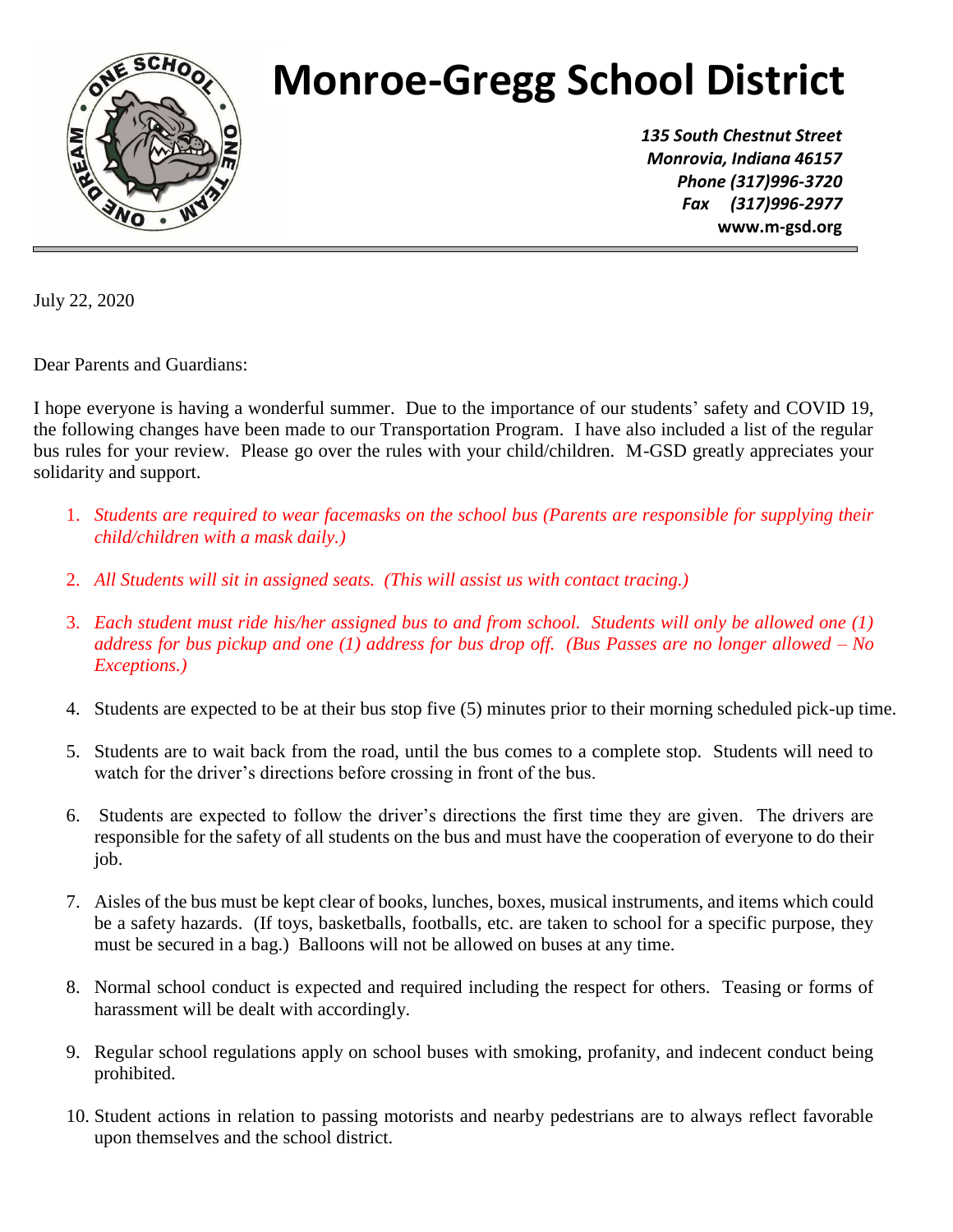

## **Monroe-Gregg School District**

*135 South Chestnut Street Monrovia, Indiana 46157 Phone (317)996-3720 Fax (317)996-2977* **www.m-gsd.org**

July 22, 2020

Dear Parents and Guardians:

I hope everyone is having a wonderful summer. Due to the importance of our students' safety and COVID 19, the following changes have been made to our Transportation Program. I have also included a list of the regular bus rules for your review. Please go over the rules with your child/children. M-GSD greatly appreciates your solidarity and support.

- 1. *Students are required to wear facemasks on the school bus (Parents are responsible for supplying their child/children with a mask daily.)*
- 2. *All Students will sit in assigned seats. (This will assist us with contact tracing.)*
- 3. *Each student must ride his/her assigned bus to and from school. Students will only be allowed one (1) address for bus pickup and one (1) address for bus drop off. (Bus Passes are no longer allowed – No Exceptions.)*
- 4. Students are expected to be at their bus stop five (5) minutes prior to their morning scheduled pick-up time.
- 5. Students are to wait back from the road, until the bus comes to a complete stop. Students will need to watch for the driver's directions before crossing in front of the bus.
- 6. Students are expected to follow the driver's directions the first time they are given. The drivers are responsible for the safety of all students on the bus and must have the cooperation of everyone to do their job.
- 7. Aisles of the bus must be kept clear of books, lunches, boxes, musical instruments, and items which could be a safety hazards. (If toys, basketballs, footballs, etc. are taken to school for a specific purpose, they must be secured in a bag.) Balloons will not be allowed on buses at any time.
- 8. Normal school conduct is expected and required including the respect for others. Teasing or forms of harassment will be dealt with accordingly.
- 9. Regular school regulations apply on school buses with smoking, profanity, and indecent conduct being prohibited.
- 10. Student actions in relation to passing motorists and nearby pedestrians are to always reflect favorable upon themselves and the school district.